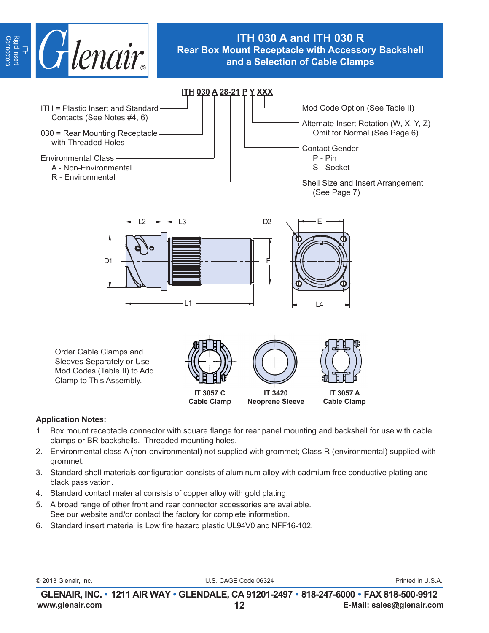

# **ITH 030 A and ITH 030 R Rear Box Mount Receptacle with Accessory Backshell and a Selection of Cable Clamps**

ITH = Plastic Insert and Standard Contacts (See Notes #4, 6) 030 = Rear Mounting Receptacle with Threaded Holes Environmental Class A - Non-Environmental R - Environmental **ITH 030 A 28-21 P Y XXX** Order Cable Clamps and Sleeves Separately or Use Mod Codes (Table II) to Add Clamp to This Assembly. Mod Code Option (See Table II) Alternate Insert Rotation (W, X, Y, Z) Omit for Normal (See Page 6) Contact Gender P - Pin S - Socket Shell Size and Insert Arrangement (See Page 7) L2 L3 D1 F L1 L4 D<sub>2</sub> **IT 3057 C Cable Clamp IT 3420 Neoprene Sleeve IT 3057 A Cable Clamp**

### **Application Notes:**

- 1. Box mount receptacle connector with square flange for rear panel mounting and backshell for use with cable clamps or BR backshells. Threaded mounting holes.
- 2. Environmental class A (non-environmental) not supplied with grommet; Class R (environmental) supplied with grommet.
- 3. Standard shell materials configuration consists of aluminum alloy with cadmium free conductive plating and black passivation.
- 4. Standard contact material consists of copper alloy with gold plating.
- 5. A broad range of other front and rear connector accessories are available. See our website and/or contact the factory for complete information.
- 6. Standard insert material is Low fire hazard plastic UL94V0 and NFF16-102.

|  | © 2013 Glenair, Inc. |  |
|--|----------------------|--|

U.S. CAGE Code 06324 **Printed in U.S.A.**